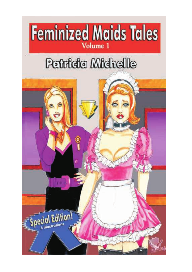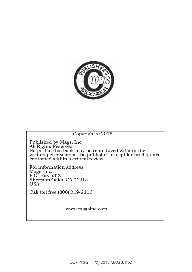

#### Copyright © 2015

Published by Mags, Inc All Rights Reserved. No part of this book may be reproduced without the written permission of the publisher, except for brief quotes contained within a critical review.

For information address Mags, Inc. P.O. Box 5829 Sherman Oaks, CA 91413 USA

Call toll free (800) 359-2116

www.magsinc.com

COPYRIGHT ©) 2015 MAGS, INC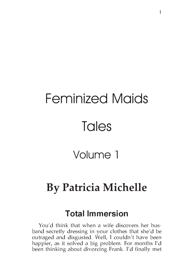# **Feminized Maids Tales**

# **Volume 1**

## **By Patricia Michelle**

#### Total Immersion

You'd think that when a wife discovers her husband secretly dressing in your clothes that she'd be outraged and disgusted. Well, I couldn't have been happier, as it solved a big problem. For months I'd been thinking about divorcing Frank. I'd finally met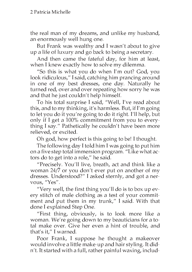the real man of my dreams, and unlike my husband, an enormously well hung one.

But Frank was wealthy and I wasn't about to give up a life of luxury and go back to being a secretary.

And then came the fateful day, for him at least, when I knew exactly how to solve my dilemma.

"So this is what you do when I'm out? God, you look ridiculous," I said, catching him prancing around in one of my best dresses, one day. Naturally he turned red, over and over repeating how sorry he was and that he just couldn't help himself.

To his total surprise I said, "Well, I've read about this, and to my thinking, it's harmless. But, if I'm going to let you do it you're going to do it right. I'll help, but only if I get a 100% commitment from you to everything I say." Pathetically he couldn't have been more relieved, or excited.

Oh god, how perfect is this going to be! I thought.

The following day I told him I was going to put him on a five step total immersion program. "Like what actors do to get into a role," he said.

"Precisely. You'll live, breath, act and think like a woman  $24/7$  or you don't ever put on another of my dresses. Understood?" I asked sternly, and got a nervous, "Yes".

"Very well, the first thing you'll do is to box up every stitch of male clothing as a test of your commitment and put them in my trunk," I said. With that done I explained Step One.

First thing, obviously, is to look more like a woman. We're going down to my beauticians for a total make over. Give her even a hint of trouble, and that's it," I warned.

Poor Frank, I suppose he thought a makeover would involve a little make-up and hair styling. It didn't. It started with a full, rather painful waxing, includ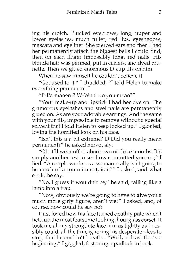ing his crotch. Plucked eyebrows, long, upper and lower eyelashes, much fuller, red lips, eyeshadow, mascara and eyeliner. She pierced ears and then I had her permanently attach the biggest bells I could find, then on each finger impossibly long, red nails. His blonde hair was permed, put in curlers, and dyed brunette. Then we glued enormous D-cup tits on him.

When he saw himself he couldn't believe it.

"Get used to it," I chuckled, "I told Helen to make everything permanent.

P-Permanent? W-What do you mean?

Your make-up and lipstick I had her dye on. The glamorous eyelashes and steel nails are permanently glued on. As are your adorable earrings. And the same with your tits, impossible to remove without a special solvent that I told Helen to keep locked up." I gloated, loving the horrified look on his face.

"Isn't this a-a bit extreme? D-Did you really mean permanent?" he asked nervously.

"Oh it'll wear off in about two or three months. It's simply another test to see how committed you are," I lied. "A couple weeks as a woman really isn't going to be much of a commitment, is it?" I asked, and what could he say.

"No, I guess it wouldn't be," he said, falling like a lamb into a trap.

"Now, obviously we're going to have to give you a much more girly figure, aren't we?" I asked, and, of course, how could he say no?

I just loved how his face turned deathly pale when I held up the most fearsome looking, hourglass corset. It took me all my strength to lace him as tightly as I possibly could, all the time ignoring his desperate pleas to stop, that he couldn't breathe. "Well, at least that's a beginning," I giggled, fastening a padlock in back.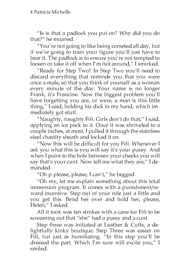Is-is that a padlock you put on? Why did you do that?" he moaned.

"You're not going to like being corseted all day, but if we're going to train your figure you'll just have to bear it. The padlock is to ensure you're not tempted to loosen or take it off when I'm not around," I smirked.

"Ready for Step Two? In Step Two you'll need to discard everything that reminds you that you were once a male, so that you think of yourself as a woman every minute of the day. Your name is no longer Frank, it's Francine. Now the biggest problem you'll have forgetting you are, or were, a man is this little thing," I said, holding his dick in my hand, which immediately got stuff.

"Naughty, naughty Fifi. Girls don't do that," I said, applying an ice pack to it. Once it was shriveled to a couple inches, at most, I pulled it through the stainless steel chastity sheath and locked it on.

Now this will be difficult for you Fifi. Whenever I ask you what this is you will say it's your pussy. And when I point to the hole between your cheeks you will say that's your cunt. Now tell me what they are," I demanded.

"Oh p-please, please, I can't," he begged.

Oh my, let me explain something about this total immersion program. It comes with a punishment/reward incentive. Step out of your role just a little and you get this. Bend her over and hold her, please, Helen," I asked.

All it took was ten strokes with a cane for Fifi to be screaming out that "she" had a pussy and a cunt.

Step three was initiated at Leather & Cuffs, a delightfully kinky boutique. Step Three was easier on Fifi, but just as humiliating. "In this step you'll be dressed the part. Which I'm sure will excite you," I smiled.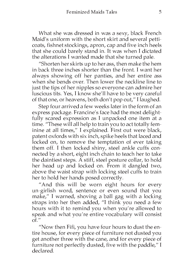What she was dressed in was a sexy, black French Maid's uniform with the short skirt and several petticoats, fishnet stockings, apron, cap and five inch heels that she could barely stand in. It was when I dictated the alterations I wanted made that she turned pale.

Shorten her skirts up to her ass, then make the hem in back three inches shorter than the front. I want her always showing off her panties, and her entire ass when she bends over. Then lower the neckline line to just the tips of her nipples so everyone can admire her luscious tits. Yes, I know she'll have to be very careful of that one, or heavens, both don't pop out," I laughed.

Step four arrived a few weeks later in the form of an express package. Francine's face had the most delightfully scared expression as I unpacked one item at a time. "These will all help to train you to act totally feminine at all times," I explained. First out were black, patent oxfords with six inch, spike heels that laced and locked on, to remove the temptation of ever taking them off. I then locked shiny, steel ankle cuffs connected by a short, eight inch chain to teach her to take the daintiest steps. A stiff, steel posture collar, to hold her head up and locked on. From it dangled two, above the waist strap with locking steel cuffs to train her to hold her hands posed correctly.

And this will be worn eight hours for every un-girlish word, sentence or even sound that you make," I warned, shoving a ball gag with a locking straps into her then added, "I think you need a few hours with it to remind you when you're allowed to speak and what you're entire vocabulary will consist  $\overline{of}$ ."

Now then Fifi, you have four hours to dust the entire house, for every piece of furniture not dusted you get another three with the cane, and for every piece of furniture not perfectly dusted, five with the paddle," I declared.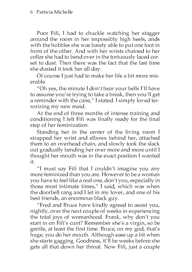Poor Fifi, I had to chuckle watching her stagger around the room in her impossibly high heels, ands with the hobbles she was barely able to put one foot in front of the other. And with her wrists chained to her collar she had to bend over in the tortuously laced corset to dust. Then there was the fact that the last time she dusted it took her all day.

Of course I just had to make her life a bit more miserable.

"Oh yes, the minute I don't hear your bells I'll have to assume you're trying to take a break, then you'll get a reminder with the cane," I stated. I simply loved terrorizing my new maid.

At the end of three months of intense training and conditioning I felt Fifi was finally ready for the final step of her feminization.

Standing her in the center of the living room I strapped her wrist and elbows behind her, attached them to an overhead chain, and slowly took the slack out gradually bending her over more and more until I thought her mouth was in the exact position I wanted it.

"I must say Fifi that I couldn't imagine you any more feminized than you are. However to be a woman you have to feel like a real one, don't you, especially in those most intimate times," I said, which was when the doorbell rang and I let in my lover, and one of his best friends, an enormous black guy.

Fred and Bruce have kindly agreed to assist you, nightly, over the next couple of weeks in experiencing the total joys of womanhood. Frank, why don't you start in on Fifi's cunt? Remember she's a virgin, so be gentle, at least the first time. Bruce, on my god, that's huge, you do her mouth. Although ease up a bit when she starts gagging. Goodness, it'll be weeks before she gets all that down her throat. Now Fifi, just a couple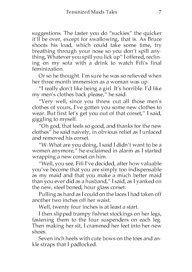suggestions. The faster you do "suckies" the quicker it'll be over, except for swallowing, that is. As Bruce shoots his load, which could take some time, try breathing through your nose so you don't spill anything, Whatever you spill you lick up" I offered, reclining on my sofa with a drink to watch Fifi's final feminization.

Or so he thought. I'm sure he was so relieved when her three month immersion as a woman was up.

"I really don't like being a girl. It's horrible. I'd like my men's clothes back please," he said.

"Very well, since you threw out all those men's clothes of yours, Ive gotten you some new clothes to wear. But first let's get you out of that corset," I said, giggling to myself.

Oh god, that feels so good, and thanks for the new clothes" he said naively, in obvious relief as I unlaced and removed his corset.

"W-What are you doing, I said I didn't want to be a women anymore," he exclaimed in alarm as I started wrapping a new corset on him.

Well, you see, Fifi Ive decided, after how valuable you've become that you are simply too indispensable as my maid and that you make a much better maid than you ever did as a husband," I said, as I yanked on the new, steel boned, hour glass corset.

Pulling as hard as I could on the laces I had taken off another two inches off her waist.

Well, twenty four inches is at least a start.

I then slipped trampy fishnet stockings on her legs, fastening them to the four suspenders on each leg. Then making her sit, I crammed her feet into her new shoes.

Seven inch heels with cute bows on the toes and ankle straps that I padlocked.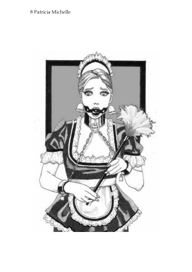#### 8 Patricia Michelle

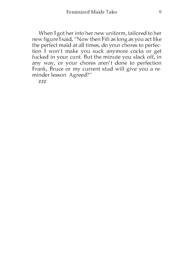When I got her into her new uniform, tailored to her new figure I said, "Now then Fifi as long as you act like the perfect maid at all times, do your chores to perfection I won't make you suck anymore cocks or get fucked in your cunt. But the minute you slack off, in any way, or your chores aren't done to perfection Frank, Bruce or my current stud will give you a reminder lesson. Agreed?

###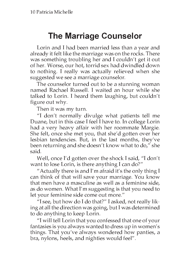## The Marriage Counselor

Lorin and I had been married less than a year and already it felt like the marriage was on the rocks. There was something troubling her and I couldn't get it out of her. Worse, our hot, torrid sex had dwindled down to nothing. I really was actually relieved when she suggested we see a marriage counselor.

The counselor turned out to be a stunning woman named Rachael Russell. I waited an hour while she talked to Lorin. I heard them laughing, but couldn't figure out why.

Then it was my turn.

"I don't normally divulge what patients tell me Duane, but in this case I feel I have to. In college Lorin had a very heavy affair with her roommate Margie. She felt, once she met you, that she'd gotten over her lesbian tendencies. But, in the last months, they've been returning and she doesn't know what to do," she said.

Well, once I'd gotten over the shock I said, "I don't want to lose Lorin, is there anything I can do?"

"Actually there is and I'm afraid it's the only thing I can think of that will save your marriage. You know that men have a masculine as well as a feminine side, as do women. What I'm suggesting is that you need to let your feminine side come out more.

"I see, but how do I do that?" I asked, not really liking at all the direction was going, but I was determined to do anything to keep Lorin.

I will tell Lorin that you confessed that one of your fantasies is you always wanted to dress up in women's things. That you've always wondered how panties, a bra, nylons, heels, and nighties would feel".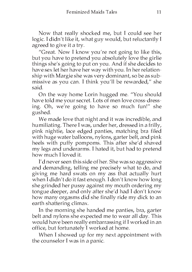Now that really shocked me, but I could see her logic. I didn't like it, what guy would, but reluctantly I agreed to give it a try.

"Great. Now I know you're not going to like this, but you have to pretend you absolutely love the girlie things she's going to put on you. And if she decides to have sex let her have her way with you. In her relationship with Margie she was very dominant, so be as submissive as you can. I think you'll be rewarded," she said.

On the way home Lorin hugged me. "You should have told me your secret. Lots of men love cross-dressing. Oh, we're going to have so much fun!" she gushed.

We made love that night and it was incredible, and humiliating. There I was, under her, dressed in a frilly, pink nightie, lace edged panties, matching bra filed with huge water balloons, nylons, garter belt, and pink heels with puffy pompoms. This after she'd shaved my legs and underarms. I hated it, but had to pretend how much I loved it.

Id never seen this side of her. She was so aggressive and demanding, telling me precisely what to do, and giving me hard swats on my ass that actually hurt when I didn't do it fast enough. I don't know how long she grinded her pussy against my mouth ordering my tongue deeper, and only after she'd had I don't know how many orgasms did she finally ride my dick to an earth shattering climax.

In the morning she handed me panties, bra, garter belt and nylons she expected me to wear all day. This would have been really embarrassing if I worked in an office, but fortunately I worked at home.

When I showed up for my next appointment with the counselor I was in a panic.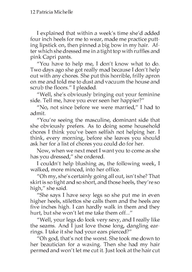I explained that within a week's time she'd added four inch heels for me to wear, made me practice putting lipstick on, then pinned a big bow in my hair. After which she dressed me in a tight top with ruffles and pink Capri pants.

"You have to help me, I don't know what to do. Two days ago she got really mad because I don't help out with any chores. She put this horrible, frilly apron on me and told me to dust and vacuum the house and scrub the floors." I pleaded.

"Well, she's obviously bringing out your feminine side. Tell me, have you ever seen her happier?

"No, not since before we were married," I had to admit.

"You're seeing the masculine, dominant side that she obviously prefers. As to doing some household chores I think you've been selfish not helping her. I think, every morning, before she leaves you should ask her for a list of chores you could do for her.

Now, when we next meet I want you to come as she has you dressed," she ordered.

I couldn't help blushing as, the following week, I walked, more minced, into her office.

"Oh my, she's certainly going all out, isn't she? That skirt is so tight and so short, and those heels, they're so high," she said.

She says I have sexy legs so she put me in even higher heels, stilettos she calls them and the heels are five inches high. I can hardly walk in them and they hurt, but she won't let me take them off..."

Well, your legs do look very sexy, and I really like the seams. And I just love those long, dangling earrings. I take it she had your ears pierced?

"Oh god, that's not the worst. She took me down to her beautician for a waxing. Then she had my hair permed and won't let me cut it. Just look at the hair cut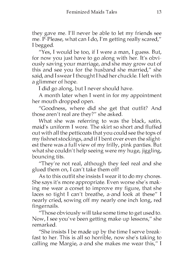they gave me. I'll never be able to let my friends see me.  $P$ -Please, what can I do, I'm getting really scared," I begged.

"Yes, I would be too, if I were a man, I guess. But, for now you just have to go along with her. It's obviously saving your marriage, and she may grow out of this and see you for the husband she married," she said, and I swear I thought I had her chuckle. I left with a glimmer of hope.

I did go along, but I never should have.

A month later when I went in for my appointment her mouth dropped open.

Goodness, where did she get that outfit? And those aren't real are they?" she asked.

What she was referring to was the black, satin, maid's uniform I wore. The skirt so short and fluffed out with all the petticoats that you could see the tops of my fishnet stockings, and if I bent over even the slightest there was a full view of my frilly, pink panties. But what she couldn't help seeing were my huge, jiggling, bouncing tits.

"They're not real, although they feel real and she glued them on, I can't take them off!

As to this outfit she insists I wear it to do my chores. She says it's more appropriate. Even worse she's making me wear a corset to improve my figure, that she laces so tight I can't breathe, a-and look at these" I nearly cried, sowing off my nearly one inch long, red fingernails.

Those obviously will take some time to get used to. Now, I see you've been getting make-up lessons," she remarked.

She insists I be made up by the time I serve breakfast to her. This is all so horrible, now she's taking to calling me Margie, a-and she makes me wear this," I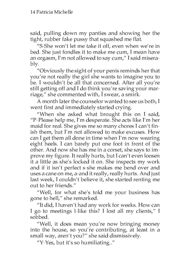said, pulling down my panties and showing her the tight, rubber fake pussy that squashed me flat.

"S-She won't let me take it off, even when we're in bed. She just fondles it to make me cum, I mean have an orgasm, I'm not allowed to say cum," I said miserably.

Obviously the sight of your penis reminds her that you're not really the girl she wants to imagine you to be. I wouldn't be all that concerned. After all you're still getting off and I do think you're saving your marriage," she commented with, I swear, a smirk.

A month later the counselor wanted to see us both, I went first and immediately started crying.

When she asked what brought this on I said, "P-Please help me, I'm desperate. She acts like I'm her maid for real. She gives me so many chores I can't finish them, but I'm not allowed to make excuses. How can I get them all done in time when I'm now wearing eight heels. I can barely put one foot in front of the other. And now she has me in a corset, she says to improve my figure. It really hurts, but I can't even loosen it a little as she's locked it on. She inspects my work and if it isn't perfect s-she makes me bend over and uses a cane on me, a-and it really, really hurts. And just last week, I couldn't believe it, she started renting me out to her friends.

"Well, for what she's told me your business has gone to hell," she remarked.

"It did, I haven't had any work for weeks. How can I go to meetings 1-like this? I lost all my clients," I sobbed.

"Well, it does mean you're now bringing money into the house, so you're contributing, at least in a small way, aren't you?" she said dismissively.

"Y-Yes, but it's so humiliating.."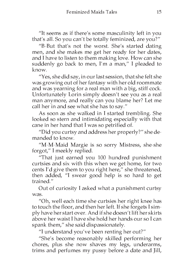"It seems as if there's some masculinity left in you that's all. So you can't be totally feminized, are you?"

"B-But that's not the worst. She's started dating men, and she makes me get her ready for her dates, and I have to listen to them making love. How can she suddenly go back to men, I'm a man," I pleaded to know.

Yes, she did say, in our last session, that she felt she was growing out of her fantasy with her old roommate and was yearning for a real man with a big, stiff cock. Unfortunately Lorin simply doesn't see you as a real man anymore, and really can you blame her? Let me call her in and see what she has to say.

As soon as she walked in I started trembling. She looked so stern and intimidating especially with that cane in her hand that I was so petrified of.

"Did you curtsy and address her properly?" she demanded to know.

M-M-Maid Margie is so sorry Mistress, she-she forgot," I meekly replied.

That just earned you 100 hundred punishment curtsies and six with this when we get home, for two cents I'd give them to you right here," she threatened, then added, "I swear good help is so hard to get trained."

Out of curiosity I asked what a punishment curtsy was.

Oh, well each time she curtsies her right knee has to touch the floor, and then her left. If she forgets I simply have her start over. And if she doesn't lift her skirts above her waist I have she hold her hands our so I can spank them," she said dispassionately.

"I understand you've been renting her out?"

"She's become reasonably skilled performing her chores, plus she now shaves my legs, underarms, trims and perfumes my pussy before a date and Jill,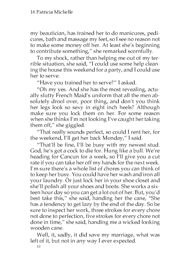my beautician, has trained her to do manicures, pedicures, bath and massage my feet, so I see no reason not to make some money off her. At least she's beginning to contribute something," she remarked scornfully.

To my shock, rather than helping me out of my terrible situation, she said, "I could use some help cleaning the house this weekend for a party, and I could use her to serve.

"Have you trained her to serve?" I asked.

Oh my yes. And she has the most revealing, actually slutty French Maid's uniform that all the men absolutely drool over, poor thing, and don't you think her legs look so sexy in eight inch heels? Although make sure you lock them on her. For some reason when she thinks I'm not looking I've caught her taking them off," she giggled.

That really sounds perfect, so could I rent her, for the weekend, I'll get her back Monday," I said.

"That'll be fine, I'll be busy with my newest stud. God, he's got a cock to die for. Hung like a bull. We're heading for Cancun for a week, so I'll give you a cut rate if you can take her off my hands for the next week. I'm sure there's a whole list of chores you can think of to keep her busy. You could have her wash and iron all your laundry. Or just lock her in your shoe closet and she'll polish all your shoes and boots. She works a sixteen hour day so you can get a lot out of her. But, you'd best take this," she said, handing her the cane, "She has a tendency to get lazy by the end of the day. So be sure to inspect her work, three strokes for every chore not done to perfection, five strokes for every chore not done in time," she said, handing me a wicked looking wooden cane.

Well, it, sadly, it did save my marriage, what was left of it, but not in any way I ever expected.

##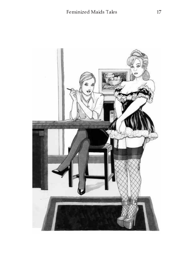